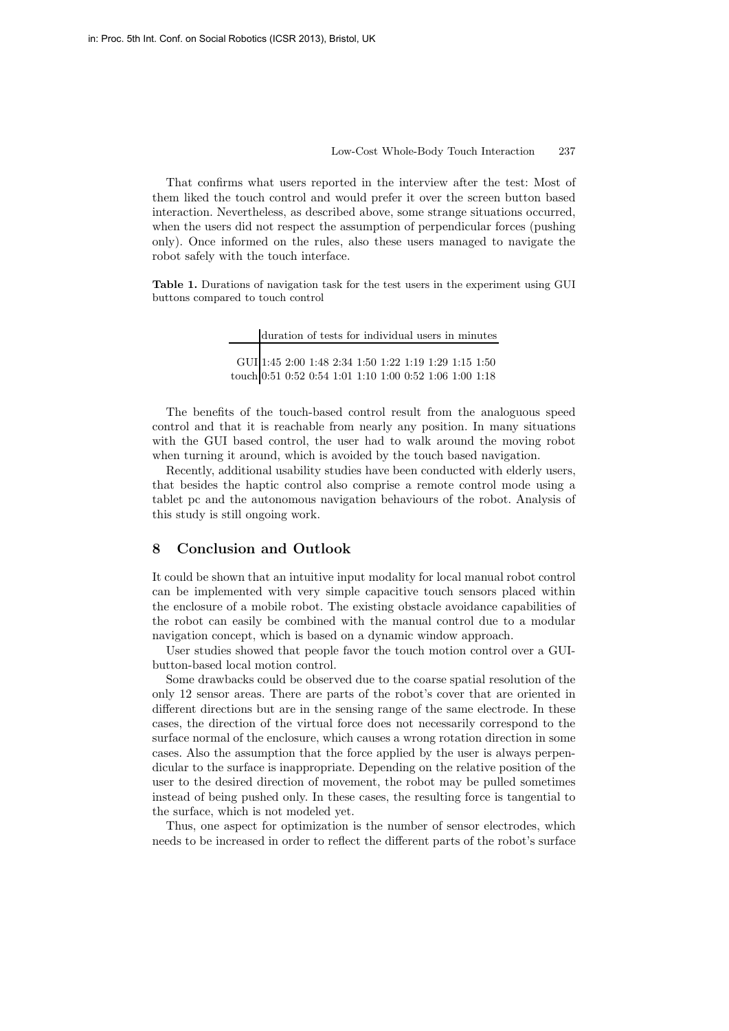## Low-Cost Whole-Body Touch Interaction 237

That confirms what users reported in the interview after the test: Most of them liked the touch control and would prefer it over the screen button based interaction. Nevertheless, as described above, some strange situations occurred, when the users did not respect the assumption of perpendicular forces (pushing only). Once informed on the rules, also these users managed to navigate the robot safely with the touch interface.

**Table 1.** Durations of navigation task for the test users in the experiment using GUI buttons compared to touch control

|                                                         |  |  |  |  | duration of tests for individual users in minutes |
|---------------------------------------------------------|--|--|--|--|---------------------------------------------------|
|                                                         |  |  |  |  |                                                   |
| GUI   1:45 2:00 1:48 2:34 1:50 1:22 1:19 1:29 1:15 1:50 |  |  |  |  |                                                   |
| touch 0:51 0:52 0:54 1:01 1:10 1:00 0:52 1:06 1:00 1:18 |  |  |  |  |                                                   |

The benefits of the touch-based control result from the analoguous speed control and that it is reachable from nearly any position. In many situations with the GUI based control, the user had to walk around the moving robot when turning it around, which is avoided by the touch based navigation.

Recently, additional usability studies have been conducted with elderly users, that besides the haptic control also comprise a remote control mode using a tablet pc and the autonomous navigation behaviours of the robot. Analysis of this study is still ongoing work.

## **8 Conclusion and Outlook**

It could be shown that an intuitive input modality for local manual robot control can be implemented with very simple capacitive touch sensors placed within the enclosure of a mobile robot. The existing obstacle avoidance capabilities of the robot can easily be combined with the manual control due to a modular navigation concept, which is based on a dynamic window approach.

User studies showed that people favor the touch motion control over a GUIbutton-based local motion control.

Some drawbacks could be observed due to the coarse spatial resolution of the only 12 sensor areas. There are parts of the robot's cover that are oriented in different directions but are in the sensing range of the same electrode. In these cases, the direction of the virtual force does not necessarily correspond to the surface normal of the enclosure, which causes a wrong rotation direction in some cases. Also the assumption that the force applied by the user is always perpendicular to the surface is inappropriate. Depending on the relative position of the user to the desired direction of movement, the robot may be pulled sometimes instead of being pushed only. In these cases, the resulting force is tangential to the surface, which is not modeled yet.

Thus, one aspect for optimization is the number of sensor electrodes, which needs to be increased in order to reflect the different parts of the robot's surface